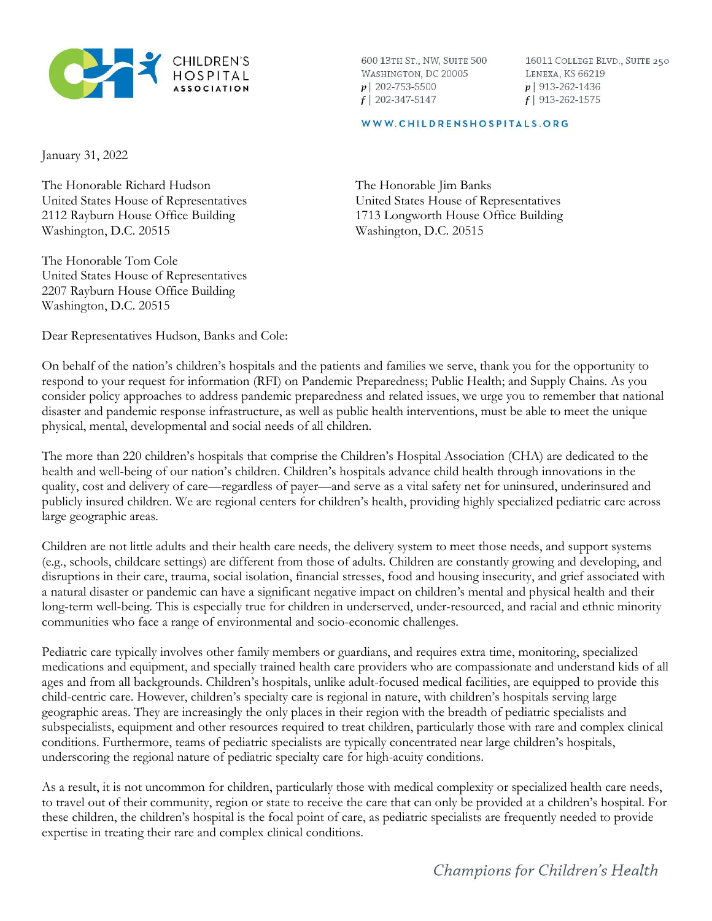

600 13TH ST., NW, SUITE 500 WASHINGTON, DC 20005  $p$ | 202-753-5500  $f$  | 202-347-5147

16011 COLLEGE BLVD., SUITE 250 LENEXA, KS 66219  $p$ | 913-262-1436  $f$ | 913-262-1575

#### WWW.CHILDRENSHOSPITALS.ORG

January 31, 2022

The Honorable Richard Hudson United States House of Representatives 2112 Rayburn House Office Building Washington, D.C. 20515

The Honorable Tom Cole United States House of Representatives 2207 Rayburn House Office Building Washington, D.C. 20515

Dear Representatives Hudson, Banks and Cole:

The Honorable Jim Banks United States House of Representatives 1713 Longworth House Office Building Washington, D.C. 20515

On behalf of the nation's children's hospitals and the patients and families we serve, thank you for the opportunity to respond to your request for information (RFI) on Pandemic Preparedness; Public Health; and Supply Chains. As you consider policy approaches to address pandemic preparedness and related issues, we urge you to remember that national disaster and pandemic response infrastructure, as well as public health interventions, must be able to meet the unique physical, mental, developmental and social needs of all children.

The more than 220 children's hospitals that comprise the Children's Hospital Association (CHA) are dedicated to the health and well-being of our nation's children. Children's hospitals advance child health through innovations in the quality, cost and delivery of care—regardless of payer—and serve as a vital safety net for uninsured, underinsured and publicly insured children. We are regional centers for children's health, providing highly specialized pediatric care across large geographic areas.

Children are not little adults and their health care needs, the delivery system to meet those needs, and support systems (e.g., schools, childcare settings) are different from those of adults. Children are constantly growing and developing, and disruptions in their care, trauma, social isolation, financial stresses, food and housing insecurity, and grief associated with a natural disaster or pandemic can have a significant negative impact on children's mental and physical health and their long-term well-being. This is especially true for children in underserved, under-resourced, and racial and ethnic minority communities who face a range of environmental and socio-economic challenges.

Pediatric care typically involves other family members or guardians, and requires extra time, monitoring, specialized medications and equipment, and specially trained health care providers who are compassionate and understand kids of all ages and from all backgrounds. Children's hospitals, unlike adult-focused medical facilities, are equipped to provide this child-centric care. However, children's specialty care is regional in nature, with children's hospitals serving large geographic areas. They are increasingly the only places in their region with the breadth of pediatric specialists and subspecialists, equipment and other resources required to treat children, particularly those with rare and complex clinical conditions. Furthermore, teams of pediatric specialists are typically concentrated near large children's hospitals, underscoring the regional nature of pediatric specialty care for high-acuity conditions.

As a result, it is not uncommon for children, particularly those with medical complexity or specialized health care needs, to travel out of their community, region or state to receive the care that can only be provided at a children's hospital. For these children, the children's hospital is the focal point of care, as pediatric specialists are frequently needed to provide expertise in treating their rare and complex clinical conditions.

Champions for Children's Health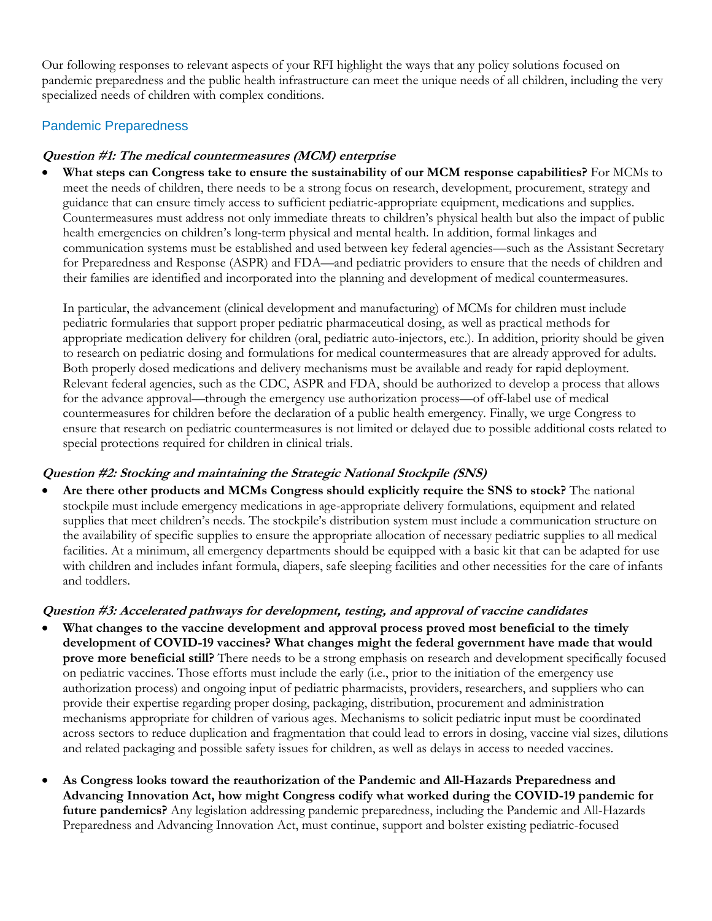Our following responses to relevant aspects of your RFI highlight the ways that any policy solutions focused on pandemic preparedness and the public health infrastructure can meet the unique needs of all children, including the very specialized needs of children with complex conditions.

## Pandemic Preparedness

#### **Question #1: The medical countermeasures (MCM) enterprise**

• **What steps can Congress take to ensure the sustainability of our MCM response capabilities?** For MCMs to meet the needs of children, there needs to be a strong focus on research, development, procurement, strategy and guidance that can ensure timely access to sufficient pediatric-appropriate equipment, medications and supplies. Countermeasures must address not only immediate threats to children's physical health but also the impact of public health emergencies on children's long-term physical and mental health. In addition, formal linkages and communication systems must be established and used between key federal agencies—such as the Assistant Secretary for Preparedness and Response (ASPR) and FDA—and pediatric providers to ensure that the needs of children and their families are identified and incorporated into the planning and development of medical countermeasures.

In particular, the advancement (clinical development and manufacturing) of MCMs for children must include pediatric formularies that support proper pediatric pharmaceutical dosing, as well as practical methods for appropriate medication delivery for children (oral, pediatric auto-injectors, etc.). In addition, priority should be given to research on pediatric dosing and formulations for medical countermeasures that are already approved for adults. Both properly dosed medications and delivery mechanisms must be available and ready for rapid deployment. Relevant federal agencies, such as the CDC, ASPR and FDA, should be authorized to develop a process that allows for the advance approval—through the emergency use authorization process—of off-label use of medical countermeasures for children before the declaration of a public health emergency. Finally, we urge Congress to ensure that research on pediatric countermeasures is not limited or delayed due to possible additional costs related to special protections required for children in clinical trials.

## **Question #2: Stocking and maintaining the Strategic National Stockpile (SNS)**

• **Are there other products and MCMs Congress should explicitly require the SNS to stock?** The national stockpile must include emergency medications in age-appropriate delivery formulations, equipment and related supplies that meet children's needs. The stockpile's distribution system must include a communication structure on the availability of specific supplies to ensure the appropriate allocation of necessary pediatric supplies to all medical facilities. At a minimum, all emergency departments should be equipped with a basic kit that can be adapted for use with children and includes infant formula, diapers, safe sleeping facilities and other necessities for the care of infants and toddlers.

## **Question #3: Accelerated pathways for development, testing, and approval of vaccine candidates**

- What changes to the vaccine development and approval process proved most beneficial to the timely **development of COVID-19 vaccines? What changes might the federal government have made that would prove more beneficial still?** There needs to be a strong emphasis on research and development specifically focused on pediatric vaccines. Those efforts must include the early (i.e., prior to the initiation of the emergency use authorization process) and ongoing input of pediatric pharmacists, providers, researchers, and suppliers who can provide their expertise regarding proper dosing, packaging, distribution, procurement and administration mechanisms appropriate for children of various ages. Mechanisms to solicit pediatric input must be coordinated across sectors to reduce duplication and fragmentation that could lead to errors in dosing, vaccine vial sizes, dilutions and related packaging and possible safety issues for children, as well as delays in access to needed vaccines.
- **As Congress looks toward the reauthorization of the Pandemic and All-Hazards Preparedness and Advancing Innovation Act, how might Congress codify what worked during the COVID-19 pandemic for future pandemics?** Any legislation addressing pandemic preparedness, including the Pandemic and All-Hazards Preparedness and Advancing Innovation Act, must continue, support and bolster existing pediatric-focused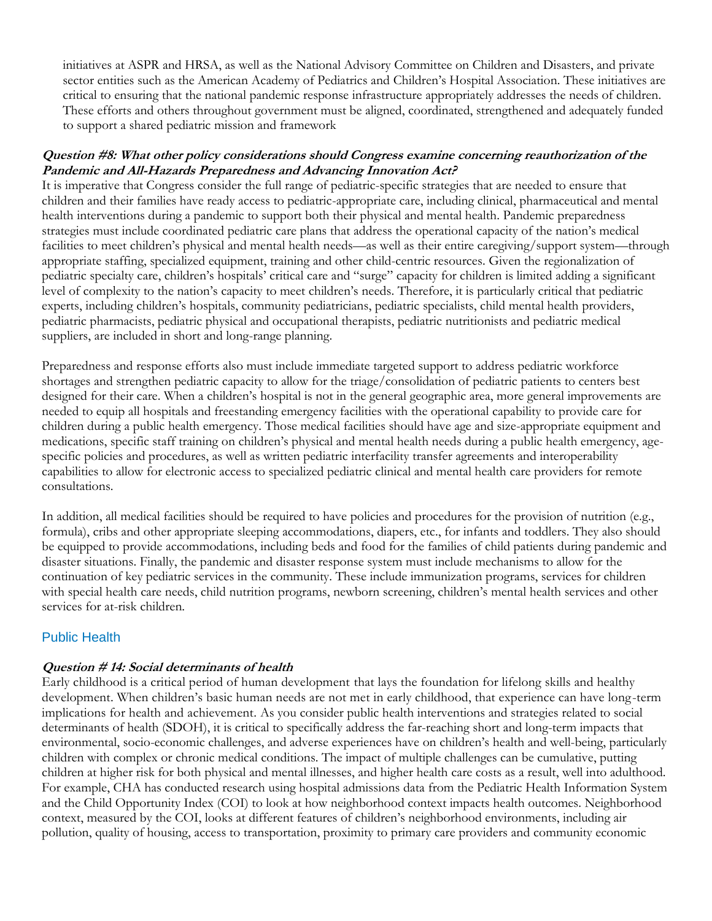initiatives at ASPR and HRSA, as well as the National Advisory Committee on Children and Disasters, and private sector entities such as the American Academy of Pediatrics and Children's Hospital Association. These initiatives are critical to ensuring that the national pandemic response infrastructure appropriately addresses the needs of children. These efforts and others throughout government must be aligned, coordinated, strengthened and adequately funded to support a shared pediatric mission and framework

#### **Question #8: What other policy considerations should Congress examine concerning reauthorization of the Pandemic and All-Hazards Preparedness and Advancing Innovation Act?**

It is imperative that Congress consider the full range of pediatric-specific strategies that are needed to ensure that children and their families have ready access to pediatric-appropriate care, including clinical, pharmaceutical and mental health interventions during a pandemic to support both their physical and mental health. Pandemic preparedness strategies must include coordinated pediatric care plans that address the operational capacity of the nation's medical facilities to meet children's physical and mental health needs—as well as their entire caregiving/support system—through appropriate staffing, specialized equipment, training and other child-centric resources. Given the regionalization of pediatric specialty care, children's hospitals' critical care and "surge" capacity for children is limited adding a significant level of complexity to the nation's capacity to meet children's needs. Therefore, it is particularly critical that pediatric experts, including children's hospitals, community pediatricians, pediatric specialists, child mental health providers, pediatric pharmacists, pediatric physical and occupational therapists, pediatric nutritionists and pediatric medical suppliers, are included in short and long-range planning.

Preparedness and response efforts also must include immediate targeted support to address pediatric workforce shortages and strengthen pediatric capacity to allow for the triage/consolidation of pediatric patients to centers best designed for their care. When a children's hospital is not in the general geographic area, more general improvements are needed to equip all hospitals and freestanding emergency facilities with the operational capability to provide care for children during a public health emergency. Those medical facilities should have age and size-appropriate equipment and medications, specific staff training on children's physical and mental health needs during a public health emergency, agespecific policies and procedures, as well as written pediatric interfacility transfer agreements and interoperability capabilities to allow for electronic access to specialized pediatric clinical and mental health care providers for remote consultations.

In addition, all medical facilities should be required to have policies and procedures for the provision of nutrition (e.g., formula), cribs and other appropriate sleeping accommodations, diapers, etc., for infants and toddlers. They also should be equipped to provide accommodations, including beds and food for the families of child patients during pandemic and disaster situations. Finally, the pandemic and disaster response system must include mechanisms to allow for the continuation of key pediatric services in the community. These include immunization programs, services for children with special health care needs, child nutrition programs, newborn screening, children's mental health services and other services for at-risk children.

## Public Health

#### **Question # 14: Social determinants of health**

Early childhood is a critical period of human development that lays the foundation for lifelong skills and healthy development. When children's basic human needs are not met in early childhood, that experience can have long-term implications for health and achievement. As you consider public health interventions and strategies related to social determinants of health (SDOH), it is critical to specifically address the far-reaching short and long-term impacts that environmental, socio-economic challenges, and adverse experiences have on children's health and well-being, particularly children with complex or chronic medical conditions. The impact of multiple challenges can be cumulative, putting children at higher risk for both physical and mental illnesses, and higher health care costs as a result, well into adulthood. For example, CHA has conducted research using hospital admissions data from the Pediatric Health Information System and the Child Opportunity Index (COI) to look at how neighborhood context impacts health outcomes. Neighborhood context, measured by the COI, looks at different features of children's neighborhood environments, including air pollution, quality of housing, access to transportation, proximity to primary care providers and community economic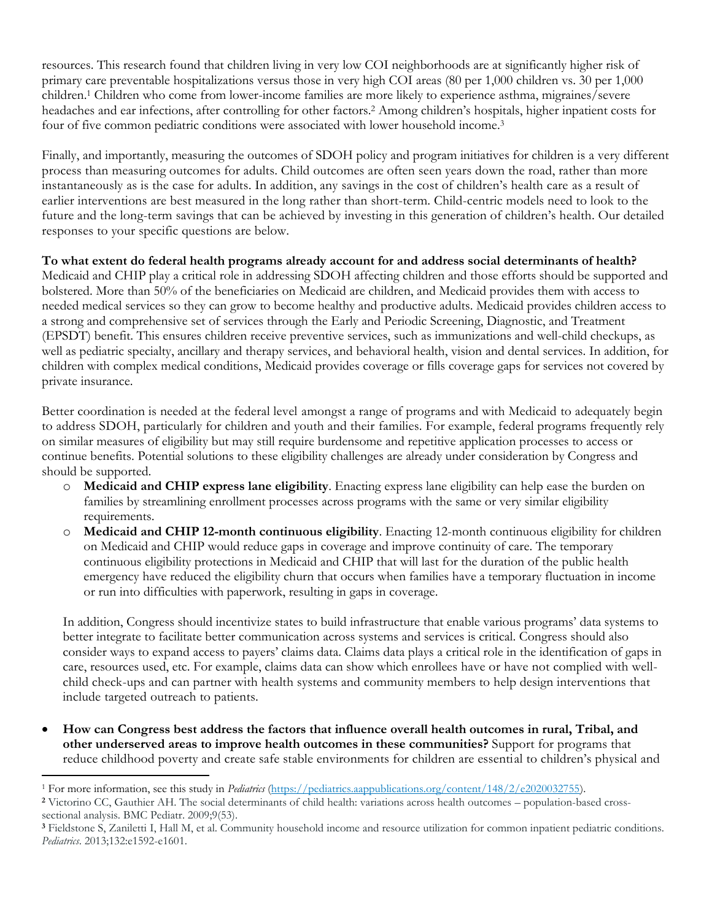resources. This research found that children living in very low COI neighborhoods are at significantly higher risk of primary care preventable hospitalizations versus those in very high COI areas (80 per 1,000 children vs. 30 per 1,000 children.<sup>1</sup> Children who come from lower-income families are more likely to experience asthma, migraines/severe headaches and ear infections, after controlling for other factors.<sup>2</sup> Among children's hospitals, higher inpatient costs for four of five common pediatric conditions were associated with lower household income.<sup>3</sup>

Finally, and importantly, measuring the outcomes of SDOH policy and program initiatives for children is a very different process than measuring outcomes for adults. Child outcomes are often seen years down the road, rather than more instantaneously as is the case for adults. In addition, any savings in the cost of children's health care as a result of earlier interventions are best measured in the long rather than short-term. Child-centric models need to look to the future and the long-term savings that can be achieved by investing in this generation of children's health. Our detailed responses to your specific questions are below.

**To what extent do federal health programs already account for and address social determinants of health?** Medicaid and CHIP play a critical role in addressing SDOH affecting children and those efforts should be supported and bolstered. More than 50% of the beneficiaries on Medicaid are children, and Medicaid provides them with access to needed medical services so they can grow to become healthy and productive adults. Medicaid provides children access to a strong and comprehensive set of services through the Early and Periodic Screening, Diagnostic, and Treatment (EPSDT) benefit. This ensures children receive preventive services, such as immunizations and well-child checkups, as well as pediatric specialty, ancillary and therapy services, and behavioral health, vision and dental services. In addition, for children with complex medical conditions, Medicaid provides coverage or fills coverage gaps for services not covered by private insurance.

Better coordination is needed at the federal level amongst a range of programs and with Medicaid to adequately begin to address SDOH, particularly for children and youth and their families. For example, federal programs frequently rely on similar measures of eligibility but may still require burdensome and repetitive application processes to access or continue benefits. Potential solutions to these eligibility challenges are already under consideration by Congress and should be supported.

- o **Medicaid and CHIP express lane eligibility**. Enacting express lane eligibility can help ease the burden on families by streamlining enrollment processes across programs with the same or very similar eligibility requirements.
- o **Medicaid and CHIP 12-month continuous eligibility**. Enacting 12-month continuous eligibility for children on Medicaid and CHIP would reduce gaps in coverage and improve continuity of care. The temporary continuous eligibility protections in Medicaid and CHIP that will last for the duration of the public health emergency have reduced the eligibility churn that occurs when families have a temporary fluctuation in income or run into difficulties with paperwork, resulting in gaps in coverage.

In addition, Congress should incentivize states to build infrastructure that enable various programs' data systems to better integrate to facilitate better communication across systems and services is critical. Congress should also consider ways to expand access to payers' claims data. Claims data plays a critical role in the identification of gaps in care, resources used, etc. For example, claims data can show which enrollees have or have not complied with wellchild check-ups and can partner with health systems and community members to help design interventions that include targeted outreach to patients.

• **How can Congress best address the factors that influence overall health outcomes in rural, Tribal, and other underserved areas to improve health outcomes in these communities?** Support for programs that reduce childhood poverty and create safe stable environments for children are essential to children's physical and

<sup>&</sup>lt;sup>1</sup> For more information, see this study in *Pediatrics* [\(https://pediatrics.aappublications.org/content/148/2/e2020032755\)](https://pediatrics.aappublications.org/content/148/2/e2020032755).

**<sup>2</sup>** Victorino CC, Gauthier AH. The social determinants of child health: variations across health outcomes – population-based crosssectional analysis. BMC Pediatr. 2009;9(53).

**<sup>3</sup>** Fieldstone S, Zaniletti I, Hall M, et al. Community household income and resource utilization for common inpatient pediatric conditions. *Pediatrics*. 2013;132:e1592-e1601.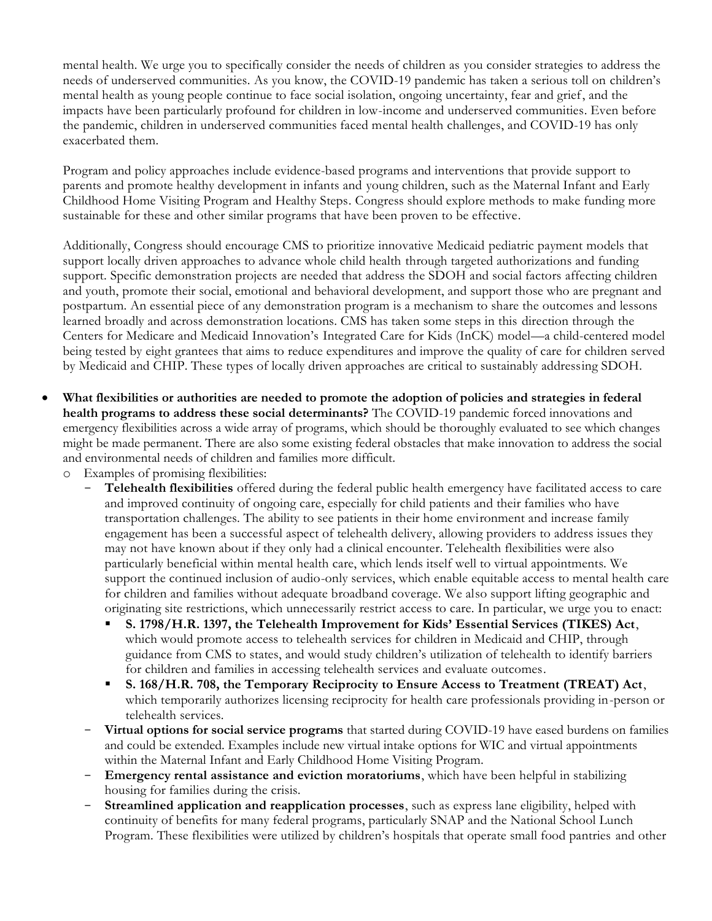mental health. We urge you to specifically consider the needs of children as you consider strategies to address the needs of underserved communities. As you know, the COVID-19 pandemic has taken a serious toll on children's mental health as young people continue to face social isolation, ongoing uncertainty, fear and grief, and the impacts have been particularly profound for children in low-income and underserved communities. Even before the pandemic, children in underserved communities faced mental health challenges, and COVID-19 has only exacerbated them.

Program and policy approaches include evidence-based programs and interventions that provide support to parents and promote healthy development in infants and young children, such as the Maternal Infant and Early Childhood Home Visiting Program and Healthy Steps. Congress should explore methods to make funding more sustainable for these and other similar programs that have been proven to be effective.

Additionally, Congress should encourage CMS to prioritize innovative Medicaid pediatric payment models that support locally driven approaches to advance whole child health through targeted authorizations and funding support. Specific demonstration projects are needed that address the SDOH and social factors affecting children and youth, promote their social, emotional and behavioral development, and support those who are pregnant and postpartum. An essential piece of any demonstration program is a mechanism to share the outcomes and lessons learned broadly and across demonstration locations. CMS has taken some steps in this direction through the Centers for Medicare and Medicaid Innovation's Integrated Care for Kids (InCK) model—a child-centered model being tested by eight grantees that aims to reduce expenditures and improve the quality of care for children served by Medicaid and CHIP. These types of locally driven approaches are critical to sustainably addressing SDOH.

- **What flexibilities or authorities are needed to promote the adoption of policies and strategies in federal health programs to address these social determinants?** The COVID-19 pandemic forced innovations and emergency flexibilities across a wide array of programs, which should be thoroughly evaluated to see which changes might be made permanent. There are also some existing federal obstacles that make innovation to address the social and environmental needs of children and families more difficult.
	- o Examples of promising flexibilities:
		- **Telehealth flexibilities** offered during the federal public health emergency have facilitated access to care and improved continuity of ongoing care, especially for child patients and their families who have transportation challenges. The ability to see patients in their home environment and increase family engagement has been a successful aspect of telehealth delivery, allowing providers to address issues they may not have known about if they only had a clinical encounter. Telehealth flexibilities were also particularly beneficial within mental health care, which lends itself well to virtual appointments. We support the continued inclusion of audio-only services, which enable equitable access to mental health care for children and families without adequate broadband coverage. We also support lifting geographic and originating site restrictions, which unnecessarily restrict access to care. In particular, we urge you to enact:
			- **S. 1798/H.R. 1397, the Telehealth Improvement for Kids' Essential Services (TIKES) Act**, which would promote access to telehealth services for children in Medicaid and CHIP, through guidance from CMS to states, and would study children's utilization of telehealth to identify barriers for children and families in accessing telehealth services and evaluate outcomes.
			- **S. 168/H.R. 708, the Temporary Reciprocity to Ensure Access to Treatment (TREAT) Act**, which temporarily authorizes licensing reciprocity for health care professionals providing in-person or telehealth services.
		- **Virtual options for social service programs** that started during COVID-19 have eased burdens on families and could be extended. Examples include new virtual intake options for WIC and virtual appointments within the Maternal Infant and Early Childhood Home Visiting Program.
		- **Emergency rental assistance and eviction moratoriums**, which have been helpful in stabilizing housing for families during the crisis.
		- **Streamlined application and reapplication processes**, such as express lane eligibility, helped with continuity of benefits for many federal programs, particularly SNAP and the National School Lunch Program. These flexibilities were utilized by children's hospitals that operate small food pantries and other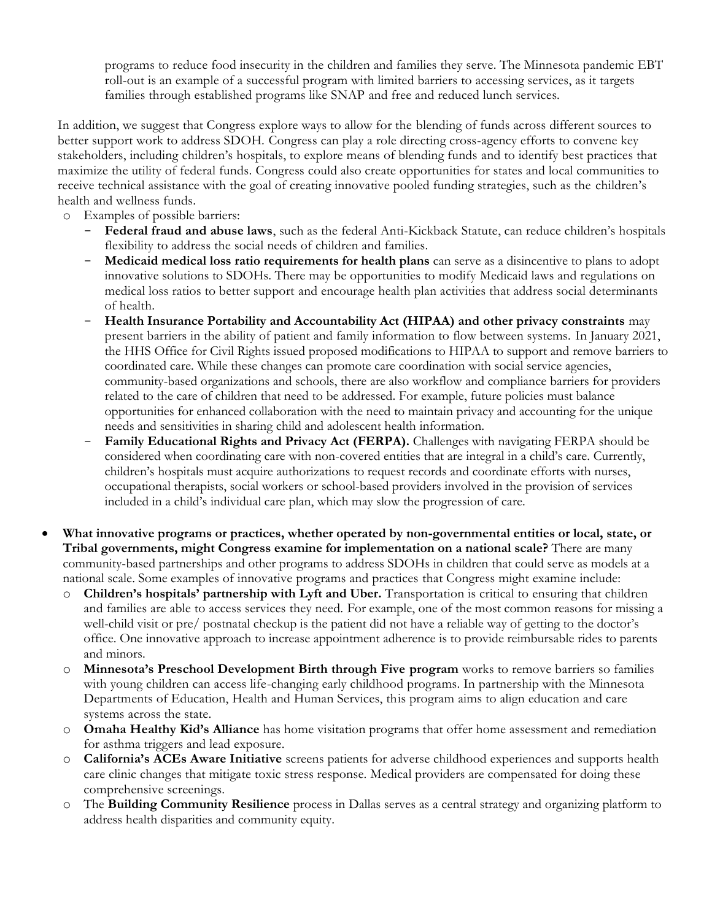programs to reduce food insecurity in the children and families they serve. The Minnesota pandemic EBT roll-out is an example of a successful program with limited barriers to accessing services, as it targets families through established programs like SNAP and free and reduced lunch services.

In addition, we suggest that Congress explore ways to allow for the blending of funds across different sources to better support work to address SDOH. Congress can play a role directing cross-agency efforts to convene key stakeholders, including children's hospitals, to explore means of blending funds and to identify best practices that maximize the utility of federal funds. Congress could also create opportunities for states and local communities to receive technical assistance with the goal of creating innovative pooled funding strategies, such as the children's health and wellness funds.

- o Examples of possible barriers:
	- **Federal fraud and abuse laws**, such as the federal Anti-Kickback Statute, can reduce children's hospitals flexibility to address the social needs of children and families.
	- **Medicaid medical loss ratio requirements for health plans** can serve as a disincentive to plans to adopt innovative solutions to SDOHs. There may be opportunities to modify Medicaid laws and regulations on medical loss ratios to better support and encourage health plan activities that address social determinants of health.
	- **Health Insurance Portability and Accountability Act (HIPAA) and other privacy constraints** may present barriers in the ability of patient and family information to flow between systems. In January 2021, the HHS Office for Civil Rights issued proposed modifications to HIPAA to support and remove barriers to coordinated care. While these changes can promote care coordination with social service agencies, community-based organizations and schools, there are also workflow and compliance barriers for providers related to the care of children that need to be addressed. For example, future policies must balance opportunities for enhanced collaboration with the need to maintain privacy and accounting for the unique needs and sensitivities in sharing child and adolescent health information.
	- Family Educational Rights and Privacy Act (FERPA). Challenges with navigating FERPA should be considered when coordinating care with non-covered entities that are integral in a child's care. Currently, children's hospitals must acquire authorizations to request records and coordinate efforts with nurses, occupational therapists, social workers or school-based providers involved in the provision of services included in a child's individual care plan, which may slow the progression of care.
- **What innovative programs or practices, whether operated by non-governmental entities or local, state, or Tribal governments, might Congress examine for implementation on a national scale?** There are many community-based partnerships and other programs to address SDOHs in children that could serve as models at a national scale. Some examples of innovative programs and practices that Congress might examine include:
	- o **Children's hospitals' partnership with Lyft and Uber.** Transportation is critical to ensuring that children and families are able to access services they need. For example, one of the most common reasons for missing a well-child visit or pre/ postnatal checkup is the patient did not have a reliable way of getting to the doctor's office. One innovative approach to increase appointment adherence is to provide reimbursable rides to parents and minors.
	- o **Minnesota's Preschool Development Birth through Five program** works to remove barriers so families with young children can access life-changing early childhood programs. In partnership with the Minnesota Departments of Education, Health and Human Services, this program aims to align education and care systems across the state.
	- o **Omaha Healthy Kid's Alliance** has home visitation programs that offer home assessment and remediation for asthma triggers and lead exposure.
	- o **California's ACEs Aware Initiative** screens patients for adverse childhood experiences and supports health care clinic changes that mitigate toxic stress response. Medical providers are compensated for doing these comprehensive screenings.
	- o The **Building Community Resilience** process in Dallas serves as a central strategy and organizing platform to address health disparities and community equity.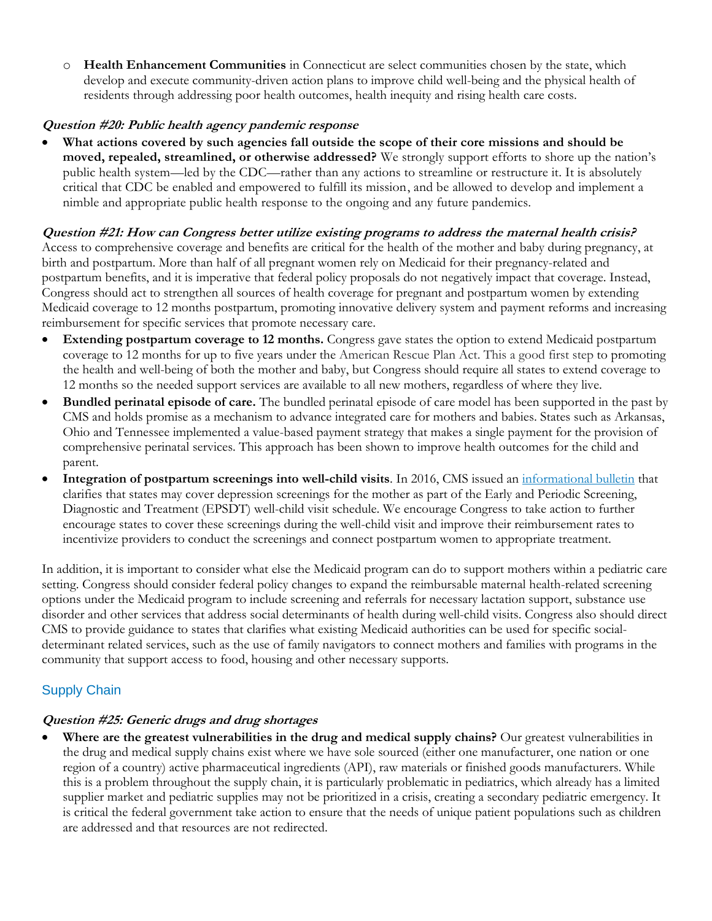o **Health Enhancement Communities** in Connecticut are select communities chosen by the state, which develop and execute community-driven action plans to improve child well-being and the physical health of residents through addressing poor health outcomes, health inequity and rising health care costs.

#### **Question #20: Public health agency pandemic response**

• **What actions covered by such agencies fall outside the scope of their core missions and should be moved, repealed, streamlined, or otherwise addressed?** We strongly support efforts to shore up the nation's public health system—led by the CDC—rather than any actions to streamline or restructure it. It is absolutely critical that CDC be enabled and empowered to fulfill its mission, and be allowed to develop and implement a nimble and appropriate public health response to the ongoing and any future pandemics.

#### **Question #21: How can Congress better utilize existing programs to address the maternal health crisis?**

Access to comprehensive coverage and benefits are critical for the health of the mother and baby during pregnancy, at birth and postpartum. More than half of all pregnant women rely on Medicaid for their pregnancy-related and postpartum benefits, and it is imperative that federal policy proposals do not negatively impact that coverage. Instead, Congress should act to strengthen all sources of health coverage for pregnant and postpartum women by extending Medicaid coverage to 12 months postpartum, promoting innovative delivery system and payment reforms and increasing reimbursement for specific services that promote necessary care.

- **Extending postpartum coverage to 12 months.** Congress gave states the option to extend Medicaid postpartum coverage to 12 months for up to five years under the American Rescue Plan Act. This a good first step to promoting the health and well-being of both the mother and baby, but Congress should require all states to extend coverage to 12 months so the needed support services are available to all new mothers, regardless of where they live.
- **Bundled perinatal episode of care.** The bundled perinatal episode of care model has been supported in the past by CMS and holds promise as a mechanism to advance integrated care for mothers and babies. States such as Arkansas, Ohio and Tennessee implemented a value-based payment strategy that makes a single payment for the provision of comprehensive perinatal services. This approach has been shown to improve health outcomes for the child and parent.
- **Integration of postpartum screenings into well-child visits**. In 2016, CMS issued an [informational bulletin](https://www.medicaid.gov/sites/default/files/Federal-Policy-Guidance/Downloads/cib051116.pdf) that clarifies that states may cover depression screenings for the mother as part of the Early and Periodic Screening, Diagnostic and Treatment (EPSDT) well-child visit schedule. We encourage Congress to take action to further encourage states to cover these screenings during the well-child visit and improve their reimbursement rates to incentivize providers to conduct the screenings and connect postpartum women to appropriate treatment.

In addition, it is important to consider what else the Medicaid program can do to support mothers within a pediatric care setting. Congress should consider federal policy changes to expand the reimbursable maternal health-related screening options under the Medicaid program to include screening and referrals for necessary lactation support, substance use disorder and other services that address social determinants of health during well-child visits. Congress also should direct CMS to provide guidance to states that clarifies what existing Medicaid authorities can be used for specific socialdeterminant related services, such as the use of family navigators to connect mothers and families with programs in the community that support access to food, housing and other necessary supports.

# Supply Chain

#### **Question #25: Generic drugs and drug shortages**

• **Where are the greatest vulnerabilities in the drug and medical supply chains?** Our greatest vulnerabilities in the drug and medical supply chains exist where we have sole sourced (either one manufacturer, one nation or one region of a country) active pharmaceutical ingredients (API), raw materials or finished goods manufacturers. While this is a problem throughout the supply chain, it is particularly problematic in pediatrics, which already has a limited supplier market and pediatric supplies may not be prioritized in a crisis, creating a secondary pediatric emergency. It is critical the federal government take action to ensure that the needs of unique patient populations such as children are addressed and that resources are not redirected.